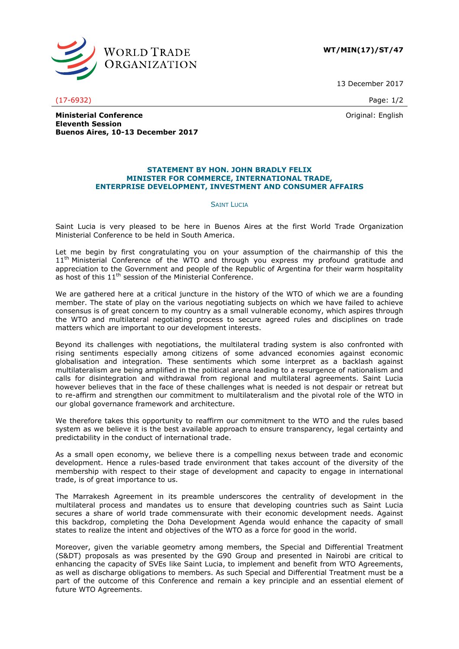

**WT/MIN(17)/ST/47**

13 December 2017

(17-6932) Page: 1/2

Original: English

**Ministerial Conference Eleventh Session Buenos Aires, 10-13 December 2017**

## **STATEMENT BY HON. JOHN BRADLY FELIX MINISTER FOR COMMERCE, INTERNATIONAL TRADE, ENTERPRISE DEVELOPMENT, INVESTMENT AND CONSUMER AFFAIRS**

## **SAINT LUCIA**

Saint Lucia is very pleased to be here in Buenos Aires at the first World Trade Organization Ministerial Conference to be held in South America.

Let me begin by first congratulating you on your assumption of the chairmanship of this the 11<sup>th</sup> Ministerial Conference of the WTO and through you express my profound gratitude and appreciation to the Government and people of the Republic of Argentina for their warm hospitality as host of this 11<sup>th</sup> session of the Ministerial Conference.

We are gathered here at a critical juncture in the history of the WTO of which we are a founding member. The state of play on the various negotiating subjects on which we have failed to achieve consensus is of great concern to my country as a small vulnerable economy, which aspires through the WTO and multilateral negotiating process to secure agreed rules and disciplines on trade matters which are important to our development interests.

Beyond its challenges with negotiations, the multilateral trading system is also confronted with rising sentiments especially among citizens of some advanced economies against economic globalisation and integration. These sentiments which some interpret as a backlash against multilateralism are being amplified in the political arena leading to a resurgence of nationalism and calls for disintegration and withdrawal from regional and multilateral agreements. Saint Lucia however believes that in the face of these challenges what is needed is not despair or retreat but to re-affirm and strengthen our commitment to multilateralism and the pivotal role of the WTO in our global governance framework and architecture.

We therefore takes this opportunity to reaffirm our commitment to the WTO and the rules based system as we believe it is the best available approach to ensure transparency, legal certainty and predictability in the conduct of international trade.

As a small open economy, we believe there is a compelling nexus between trade and economic development. Hence a rules-based trade environment that takes account of the diversity of the membership with respect to their stage of development and capacity to engage in international trade, is of great importance to us.

The Marrakesh Agreement in its preamble underscores the centrality of development in the multilateral process and mandates us to ensure that developing countries such as Saint Lucia secures a share of world trade commensurate with their economic development needs. Against this backdrop, completing the Doha Development Agenda would enhance the capacity of small states to realize the intent and objectives of the WTO as a force for good in the world.

Moreover, given the variable geometry among members, the Special and Differential Treatment (S&DT) proposals as was presented by the G90 Group and presented in Nairobi are critical to enhancing the capacity of SVEs like Saint Lucia, to implement and benefit from WTO Agreements, as well as discharge obligations to members. As such Special and Differential Treatment must be a part of the outcome of this Conference and remain a key principle and an essential element of future WTO Agreements.